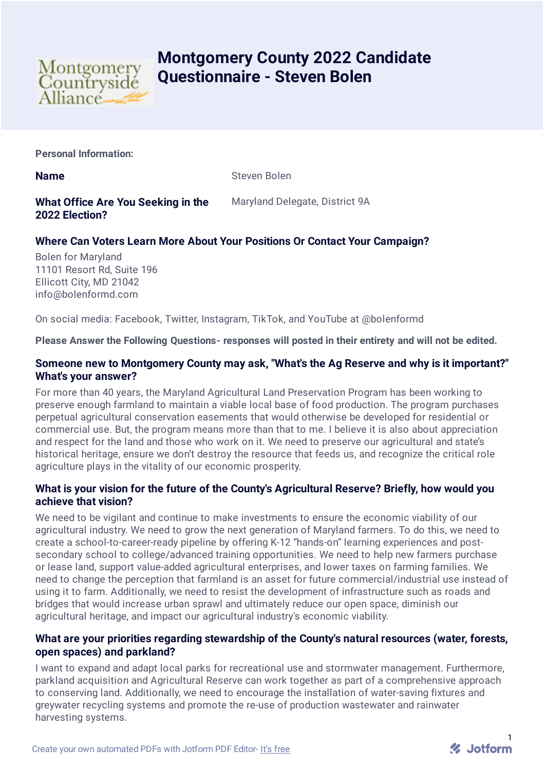

# **Montgomery County 2022 Candidate Questionnaire - Steven Bolen**

**Personal Information:**

**Name** Steven Bolen

**What Office Are You Seeking in the 2022 Election?**

Maryland Delegate, District 9A

# **Where Can Voters Learn More About Your Positions Or Contact Your Campaign?**

Bolen for Maryland 11101 Resort Rd, Suite 196 Ellicott City, MD 21042 info@bolenformd.com

On social media: Facebook, Twitter, Instagram, TikTok, and YouTube at @bolenformd

**Please Answer the Following Questions- responses will posted in their entirety and will not be edited.**

### **Someone new to Montgomery County may ask, "What's the Ag Reserve and why is it important?" What's your answer?**

For more than 40 years, the Maryland Agricultural Land Preservation Program has been working to preserve enough farmland to maintain a viable local base of food production. The program purchases perpetual agricultural conservation easements that would otherwise be developed for residential or commercial use. But, the program means more than that to me. I believe it is also about appreciation and respect for the land and those who work on it. We need to preserve our agricultural and state's historical heritage, ensure we don't destroy the resource that feeds us, and recognize the critical role agriculture plays in the vitality of our economic prosperity.

# **What is your vision for the future of the County's Agricultural Reserve? Briefly, how would you achieve that vision?**

We need to be vigilant and continue to make investments to ensure the economic viability of our agricultural industry. We need to grow the next generation of Maryland farmers. To do this, we need to create a school-to-career-ready pipeline by offering K-12 "hands-on" learning experiences and postsecondary school to college/advanced training opportunities. We need to help new farmers purchase or lease land, support value-added agricultural enterprises, and lower taxes on farming families. We need to change the perception that farmland is an asset for future commercial/industrial use instead of using it to farm. Additionally, we need to resist the development of infrastructure such as roads and bridges that would increase urban sprawl and ultimately reduce our open space, diminish our agricultural heritage, and impact our agricultural industry's economic viability.

# **What are your priorities regarding stewardship of the County's natural resources (water, forests, open spaces) and parkland?**

I want to expand and adapt local parks for recreational use and stormwater management. Furthermore, parkland acquisition and Agricultural Reserve can work together as part of a comprehensive approach to conserving land. Additionally, we need to encourage the installation of water-saving fixtures and greywater recycling systems and promote the re-use of production wastewater and rainwater harvesting systems.

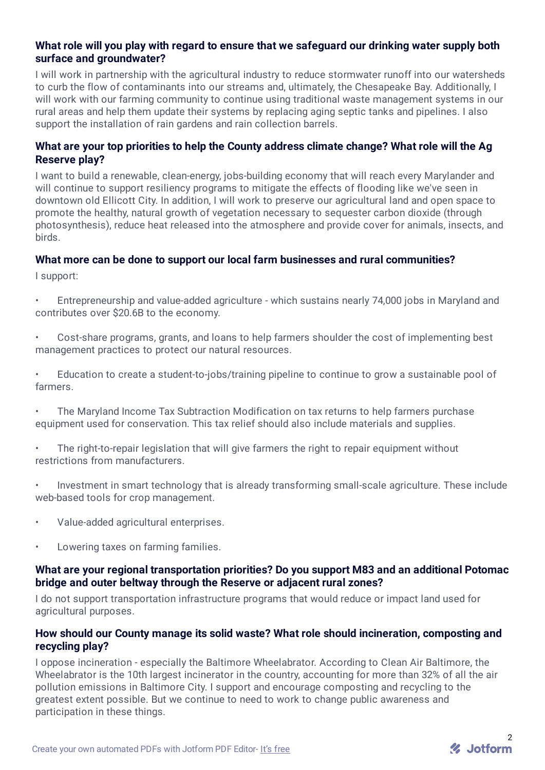# **What role will you play with regard to ensure that we safeguard our drinking water supply both surface and groundwater?**

I will work in partnership with the agricultural industry to reduce stormwater runoff into our watersheds to curb the flow of contaminants into our streams and, ultimately, the Chesapeake Bay. Additionally, I will work with our farming community to continue using traditional waste management systems in our rural areas and help them update their systems by replacing aging septic tanks and pipelines. I also support the installation of rain gardens and rain collection barrels.

# **What are your top priorities to help the County address climate change? What role will the Ag Reserve play?**

I want to build a renewable, clean-energy, jobs-building economy that will reach every Marylander and will continue to support resiliency programs to mitigate the effects of flooding like we've seen in downtown old Ellicott City. In addition, I will work to preserve our agricultural land and open space to promote the healthy, natural growth of vegetation necessary to sequester carbon dioxide (through photosynthesis), reduce heat released into the atmosphere and provide cover for animals, insects, and birds.

### **What more can be done to support our local farm businesses and rural communities?**

I support:

- Entrepreneurship and value-added agriculture which sustains nearly 74,000 jobs in Maryland and contributes over \$20.6B to the economy.
- Cost-share programs, grants, and loans to help farmers shoulder the cost of implementing best management practices to protect our natural resources.
- Education to create a student-to-jobs/training pipeline to continue to grow a sustainable pool of farmers.
- The Maryland Income Tax Subtraction Modification on tax returns to help farmers purchase equipment used for conservation. This tax relief should also include materials and supplies.
- The right-to-repair legislation that will give farmers the right to repair equipment without restrictions from manufacturers.
- Investment in smart technology that is already transforming small-scale agriculture. These include web-based tools for crop management.
- Value-added agricultural enterprises.
- Lowering taxes on farming families.

### **What are your regional transportation priorities? Do you support M83 and an additional Potomac bridge and outer beltway through the Reserve or adjacent rural zones?**

I do not support transportation infrastructure programs that would reduce or impact land used for agricultural purposes.

# **How should our County manage its solid waste? What role should incineration, composting and recycling play?**

I oppose incineration - especially the Baltimore Wheelabrator. According to Clean Air Baltimore, the Wheelabrator is the 10th largest incinerator in the country, accounting for more than 32% of all the air pollution emissions in Baltimore City. I support and encourage composting and recycling to the greatest extent possible. But we continue to need to work to change public awareness and participation in these things.